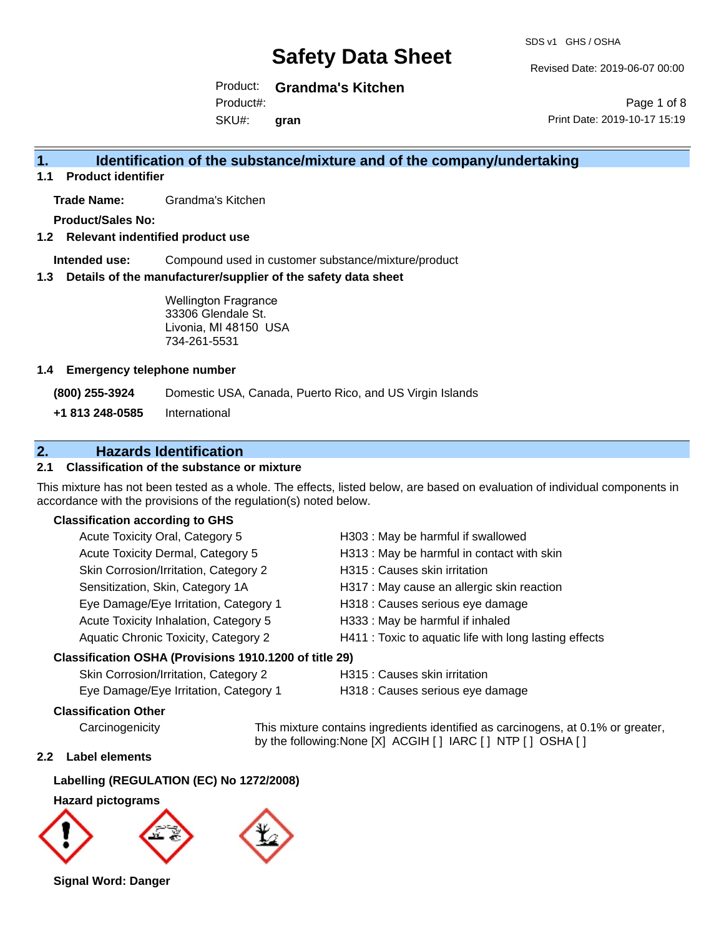Revised Date: 2019-06-07 00:00

Product: **Grandma's Kitchen** Product#:

SKU#: **gran**

Page 1 of 8 Print Date: 2019-10-17 15:19

### **1. Identification of the substance/mixture and of the company/undertaking**

**1.1 Product identifier**

**Trade Name:** Grandma's Kitchen

**Product/Sales No:**

#### **1.2 Relevant indentified product use**

**Intended use:** Compound used in customer substance/mixture/product

#### **1.3 Details of the manufacturer/supplier of the safety data sheet**

Wellington Fragrance 33306 Glendale St. Livonia, MI 48150 USA 734-261-5531

#### **1.4 Emergency telephone number**

**(800) 255-3924** Domestic USA, Canada, Puerto Rico, and US Virgin Islands

**+1 813 248-0585** International

### **2. Hazards Identification**

#### **2.1 Classification of the substance or mixture**

This mixture has not been tested as a whole. The effects, listed below, are based on evaluation of individual components in accordance with the provisions of the regulation(s) noted below.

#### **Classification according to GHS**

| Acute Toxicity Oral, Category 5                      | H303 : May be harmful if swallowed                     |
|------------------------------------------------------|--------------------------------------------------------|
| Acute Toxicity Dermal, Category 5                    | H313 : May be harmful in contact with skin             |
| Skin Corrosion/Irritation, Category 2                | H315 : Causes skin irritation                          |
| Sensitization, Skin, Category 1A                     | H317 : May cause an allergic skin reaction             |
| Eye Damage/Eye Irritation, Category 1                | H318 : Causes serious eye damage                       |
| Acute Toxicity Inhalation, Category 5                | H333: May be harmful if inhaled                        |
| Aquatic Chronic Toxicity, Category 2                 | H411 : Toxic to aquatic life with long lasting effects |
| issification OSHA (Provisions 1910 1200 of title 29) |                                                        |

#### **Classification OSHA (Provisions 1910.1200 of title 29)**

| Skin Corrosion/Irritation, Category 2 |
|---------------------------------------|
| Eve Damage/Eve Irritation. Category 1 |

H315 : Causes skin irritation

Damage/Eye Irritation, Category 1 **H318** : Causes serious eye damage

#### **Classification Other**

Carcinogenicity This mixture contains ingredients identified as carcinogens, at 0.1% or greater, by the following:None [X] ACGIH [ ] IARC [ ] NTP [ ] OSHA [ ]

#### **2.2 Label elements**

#### **Labelling (REGULATION (EC) No 1272/2008)**

#### **Hazard pictograms**



**Signal Word: Danger**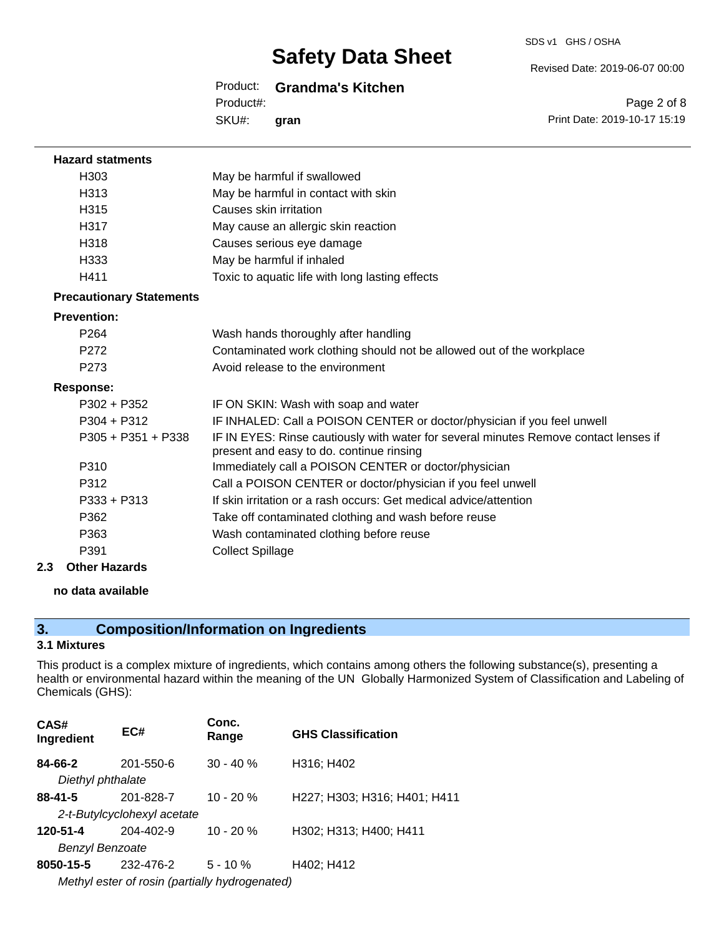SDS v1 GHS / OSHA

#### Revised Date: 2019-06-07 00:00

#### Product: **Grandma's Kitchen**

SKU#: Product#: **gran**

Page 2 of 8 Print Date: 2019-10-17 15:19

| <b>Hazard statments</b>         |                                                                                                                                  |
|---------------------------------|----------------------------------------------------------------------------------------------------------------------------------|
| H303                            | May be harmful if swallowed                                                                                                      |
| H313                            | May be harmful in contact with skin                                                                                              |
| H315                            | Causes skin irritation                                                                                                           |
| H317                            | May cause an allergic skin reaction                                                                                              |
| H318                            | Causes serious eye damage                                                                                                        |
| H333                            | May be harmful if inhaled                                                                                                        |
| H411                            | Toxic to aquatic life with long lasting effects                                                                                  |
| <b>Precautionary Statements</b> |                                                                                                                                  |
| <b>Prevention:</b>              |                                                                                                                                  |
| P <sub>264</sub>                | Wash hands thoroughly after handling                                                                                             |
| P272                            | Contaminated work clothing should not be allowed out of the workplace                                                            |
| P273                            | Avoid release to the environment                                                                                                 |
| <b>Response:</b>                |                                                                                                                                  |
| P302 + P352                     | IF ON SKIN: Wash with soap and water                                                                                             |
| $P304 + P312$                   | IF INHALED: Call a POISON CENTER or doctor/physician if you feel unwell                                                          |
| $P305 + P351 + P338$            | IF IN EYES: Rinse cautiously with water for several minutes Remove contact lenses if<br>present and easy to do. continue rinsing |
| P310                            | Immediately call a POISON CENTER or doctor/physician                                                                             |
| P312                            | Call a POISON CENTER or doctor/physician if you feel unwell                                                                      |
| $P333 + P313$                   | If skin irritation or a rash occurs: Get medical advice/attention                                                                |
| P362                            | Take off contaminated clothing and wash before reuse                                                                             |
| P363                            | Wash contaminated clothing before reuse                                                                                          |
| P391                            | <b>Collect Spillage</b>                                                                                                          |
| Othor Hazarde                   |                                                                                                                                  |

#### **2.3 Other Hazards**

#### **no data available**

### **3. Composition/Information on Ingredients**

#### **3.1 Mixtures**

This product is a complex mixture of ingredients, which contains among others the following substance(s), presenting a health or environmental hazard within the meaning of the UN Globally Harmonized System of Classification and Labeling of Chemicals (GHS):

| CAS#<br>Ingredient | EC#                                            | Conc.<br>Range | <b>GHS Classification</b>    |
|--------------------|------------------------------------------------|----------------|------------------------------|
| 84-66-2            | 201-550-6                                      | $30 - 40%$     | H316; H402                   |
| Diethyl phthalate  |                                                |                |                              |
| $88 - 41 - 5$      | 201-828-7                                      | $10 - 20%$     | H227; H303; H316; H401; H411 |
|                    | 2-t-Butylcyclohexyl acetate                    |                |                              |
| 120-51-4           | 204-402-9                                      | $10 - 20 \%$   | H302; H313; H400; H411       |
| Benzyl Benzoate    |                                                |                |                              |
| 8050-15-5          | 232-476-2                                      | $5 - 10 \%$    | H402; H412                   |
|                    | Methyl ester of rosin (partially hydrogenated) |                |                              |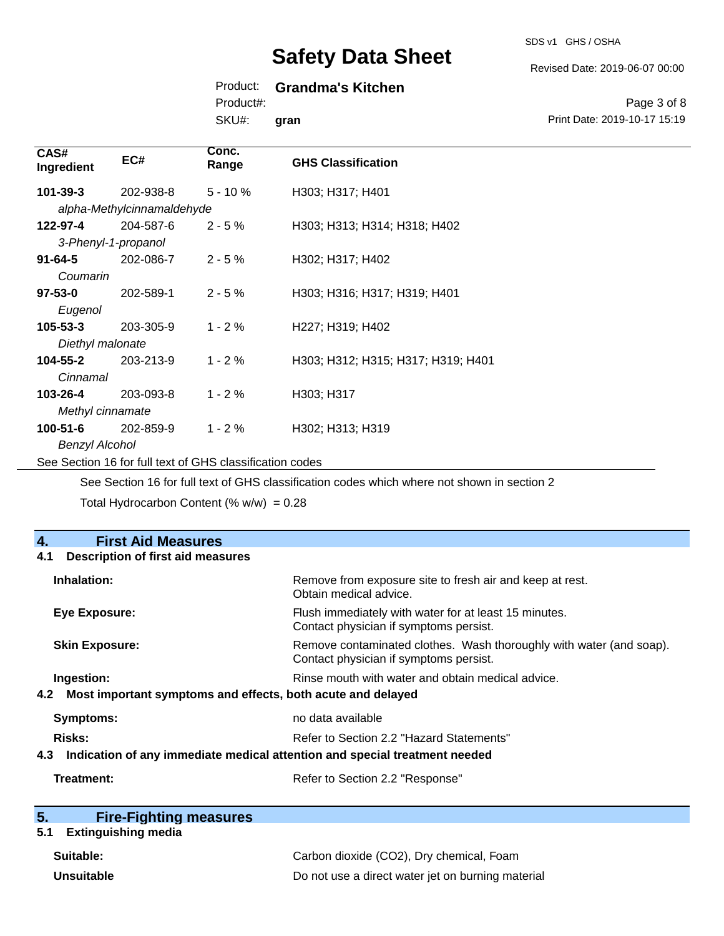SDS v1 GHS / OSHA

Revised Date: 2019-06-07 00:00

Print Date: 2019-10-17 15:19

Page 3 of 8

### Product: **Grandma's Kitchen**

Product#:

SKU#: **gran**

| CAS#<br>Ingredient    | EC#                        | Conc.<br>Range | <b>GHS Classification</b>          |
|-----------------------|----------------------------|----------------|------------------------------------|
| 101-39-3              | 202-938-8                  | $5 - 10%$      | H303; H317; H401                   |
|                       | alpha-Methylcinnamaldehyde |                |                                    |
| 122-97-4              | 204-587-6                  | $2 - 5%$       | H303; H313; H314; H318; H402       |
|                       | 3-Phenyl-1-propanol        |                |                                    |
| $91 - 64 - 5$         | 202-086-7                  | $2 - 5%$       | H302; H317; H402                   |
| Coumarin              |                            |                |                                    |
| $97 - 53 - 0$         | 202-589-1                  | $2 - 5%$       | H303; H316; H317; H319; H401       |
| Eugenol               |                            |                |                                    |
| $105 - 53 - 3$        | 203-305-9                  | $1 - 2%$       | H227; H319; H402                   |
| Diethyl malonate      |                            |                |                                    |
| 104-55-2              | 203-213-9                  | $1 - 2%$       | H303; H312; H315; H317; H319; H401 |
| Cinnamal              |                            |                |                                    |
| 103-26-4              | 203-093-8                  | $1 - 2 \%$     | H303; H317                         |
| Methyl cinnamate      |                            |                |                                    |
| 100-51-6              | 202-859-9                  | $1 - 2 \%$     | H302; H313; H319                   |
| <b>Benzyl Alcohol</b> |                            |                |                                    |

See Section 16 for full text of GHS classification codes

See Section 16 for full text of GHS classification codes which where not shown in section 2

Total Hydrocarbon Content (%  $w/w$ ) = 0.28

| 4.<br><b>First Aid Measures</b>                                                   |                                                                                                               |  |
|-----------------------------------------------------------------------------------|---------------------------------------------------------------------------------------------------------------|--|
| <b>Description of first aid measures</b><br>4.1                                   |                                                                                                               |  |
| Inhalation:                                                                       | Remove from exposure site to fresh air and keep at rest.<br>Obtain medical advice.                            |  |
| <b>Eye Exposure:</b>                                                              | Flush immediately with water for at least 15 minutes.<br>Contact physician if symptoms persist.               |  |
| <b>Skin Exposure:</b>                                                             | Remove contaminated clothes. Wash thoroughly with water (and soap).<br>Contact physician if symptoms persist. |  |
| Ingestion:                                                                        | Rinse mouth with water and obtain medical advice.                                                             |  |
| Most important symptoms and effects, both acute and delayed<br>4.2                |                                                                                                               |  |
| <b>Symptoms:</b>                                                                  | no data available                                                                                             |  |
| Risks:                                                                            | Refer to Section 2.2 "Hazard Statements"                                                                      |  |
| Indication of any immediate medical attention and special treatment needed<br>4.3 |                                                                                                               |  |
| Treatment:                                                                        | Refer to Section 2.2 "Response"                                                                               |  |

| 5. | <b>Fire-Fighting measures</b> |  |
|----|-------------------------------|--|
|    |                               |  |

### **5.1 Extinguishing media**

| Suitable:         | Carbon dioxide (CO2), Dry chemical, Foam          |
|-------------------|---------------------------------------------------|
| <b>Unsuitable</b> | Do not use a direct water jet on burning material |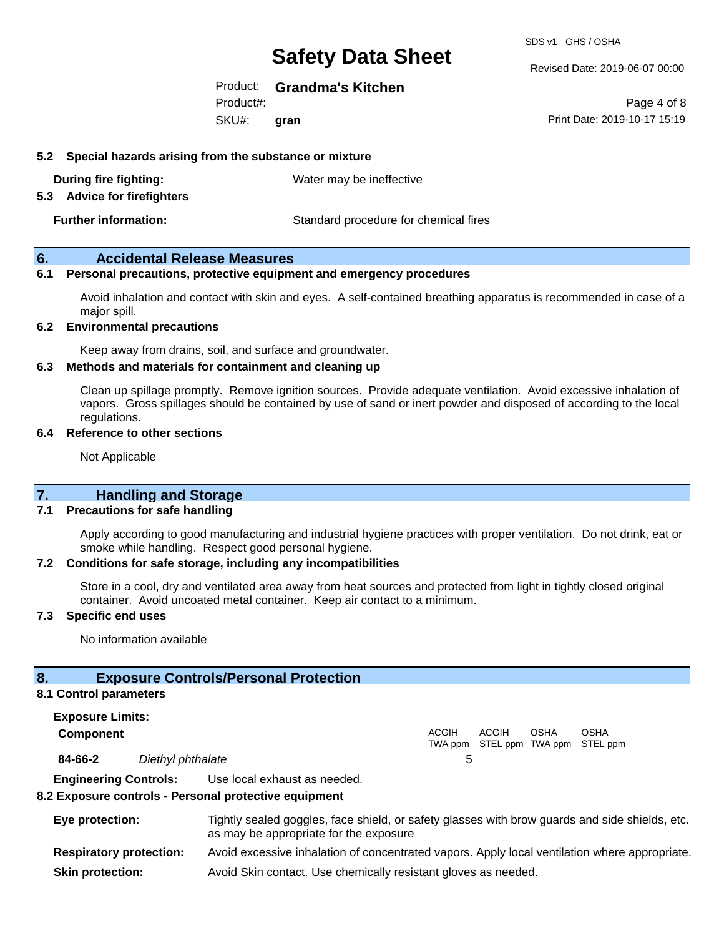SDS v1 GHS / OSHA

Revised Date: 2019-06-07 00:00

Product: **Grandma's Kitchen**

SKU#: Product#: **gran**

Page 4 of 8 Print Date: 2019-10-17 15:19

#### **5.2 Special hazards arising from the substance or mixture**

**During fire fighting:** Water may be ineffective

#### **5.3 Advice for firefighters**

**Further information:** Standard procedure for chemical fires

#### **6. Accidental Release Measures**

#### **6.1 Personal precautions, protective equipment and emergency procedures**

Avoid inhalation and contact with skin and eyes. A self-contained breathing apparatus is recommended in case of a major spill.

#### **6.2 Environmental precautions**

Keep away from drains, soil, and surface and groundwater.

#### **6.3 Methods and materials for containment and cleaning up**

Clean up spillage promptly. Remove ignition sources. Provide adequate ventilation. Avoid excessive inhalation of vapors. Gross spillages should be contained by use of sand or inert powder and disposed of according to the local regulations.

#### **6.4 Reference to other sections**

Not Applicable

#### **7. Handling and Storage**

#### **7.1 Precautions for safe handling**

Apply according to good manufacturing and industrial hygiene practices with proper ventilation. Do not drink, eat or smoke while handling. Respect good personal hygiene.

#### **7.2 Conditions for safe storage, including any incompatibilities**

Store in a cool, dry and ventilated area away from heat sources and protected from light in tightly closed original container. Avoid uncoated metal container. Keep air contact to a minimum.

#### **7.3 Specific end uses**

No information available

#### **8. Exposure Controls/Personal Protection**

#### **8.1 Control parameters**

**Exposure Limits: Component** ACGIH TWA ppm STEL ppm TWA ppm STEL ppm ACGIH **OSHA** OSHA **84-66-2** *Diethyl phthalate* 5 **Engineering Controls:** Use local exhaust as needed.

#### **8.2 Exposure controls - Personal protective equipment**

| Eye protection:                | Tightly sealed goggles, face shield, or safety glasses with brow guards and side shields, etc.<br>as may be appropriate for the exposure |
|--------------------------------|------------------------------------------------------------------------------------------------------------------------------------------|
| <b>Respiratory protection:</b> | Avoid excessive inhalation of concentrated vapors. Apply local ventilation where appropriate.                                            |
| <b>Skin protection:</b>        | Avoid Skin contact. Use chemically resistant gloves as needed.                                                                           |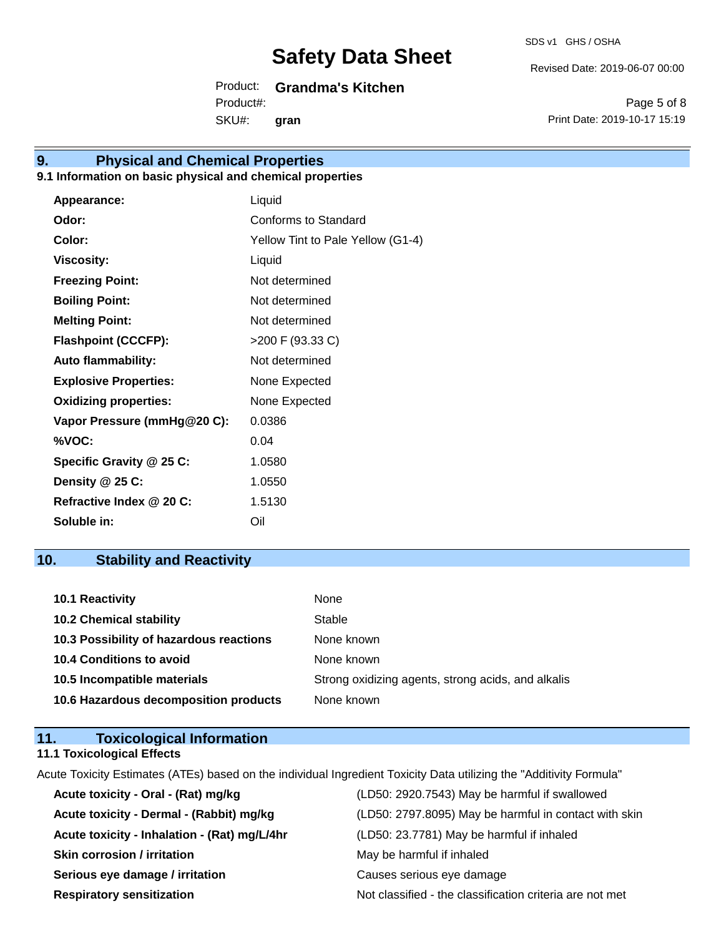Revised Date: 2019-06-07 00:00

Product: **Grandma's Kitchen** Product#:

SKU#: **gran**

Page 5 of 8 Print Date: 2019-10-17 15:19

### **9. Physical and Chemical Properties**

#### **9.1 Information on basic physical and chemical properties**

| <b>Appearance:</b>           | Liquid                            |
|------------------------------|-----------------------------------|
| Odor:                        | Conforms to Standard              |
| Color:                       | Yellow Tint to Pale Yellow (G1-4) |
| <b>Viscosity:</b>            | Liquid                            |
| <b>Freezing Point:</b>       | Not determined                    |
| <b>Boiling Point:</b>        | Not determined                    |
| <b>Melting Point:</b>        | Not determined                    |
| <b>Flashpoint (CCCFP):</b>   | >200 F (93.33 C)                  |
| <b>Auto flammability:</b>    | Not determined                    |
| <b>Explosive Properties:</b> | None Expected                     |
| <b>Oxidizing properties:</b> | None Expected                     |
| Vapor Pressure (mmHg@20 C):  | 0.0386                            |
| %VOC:                        | 0.04                              |
| Specific Gravity @ 25 C:     | 1.0580                            |
| Density @ 25 C:              | 1.0550                            |
| Refractive Index @ 20 C:     | 1.5130                            |
| Soluble in:                  | Oil                               |

### **10. Stability and Reactivity**

| <b>10.1 Reactivity</b>                  | None                                               |
|-----------------------------------------|----------------------------------------------------|
| <b>10.2 Chemical stability</b>          | Stable                                             |
| 10.3 Possibility of hazardous reactions | None known                                         |
| <b>10.4 Conditions to avoid</b>         | None known                                         |
| 10.5 Incompatible materials             | Strong oxidizing agents, strong acids, and alkalis |
| 10.6 Hazardous decomposition products   | None known                                         |

| 11. | <b>Toxicological Information</b>  |  |
|-----|-----------------------------------|--|
|     | <b>11.1 Toxicological Effects</b> |  |

Acute Toxicity Estimates (ATEs) based on the individual Ingredient Toxicity Data utilizing the "Additivity Formula"

| Acute toxicity - Oral - (Rat) mg/kg          | (LD50: 2920.7543) May be harmful if swallowed            |
|----------------------------------------------|----------------------------------------------------------|
| Acute toxicity - Dermal - (Rabbit) mg/kg     | (LD50: 2797.8095) May be harmful in contact with skin    |
| Acute toxicity - Inhalation - (Rat) mg/L/4hr | (LD50: 23.7781) May be harmful if inhaled                |
| <b>Skin corrosion / irritation</b>           | May be harmful if inhaled                                |
| Serious eye damage / irritation              | Causes serious eye damage                                |
| <b>Respiratory sensitization</b>             | Not classified - the classification criteria are not met |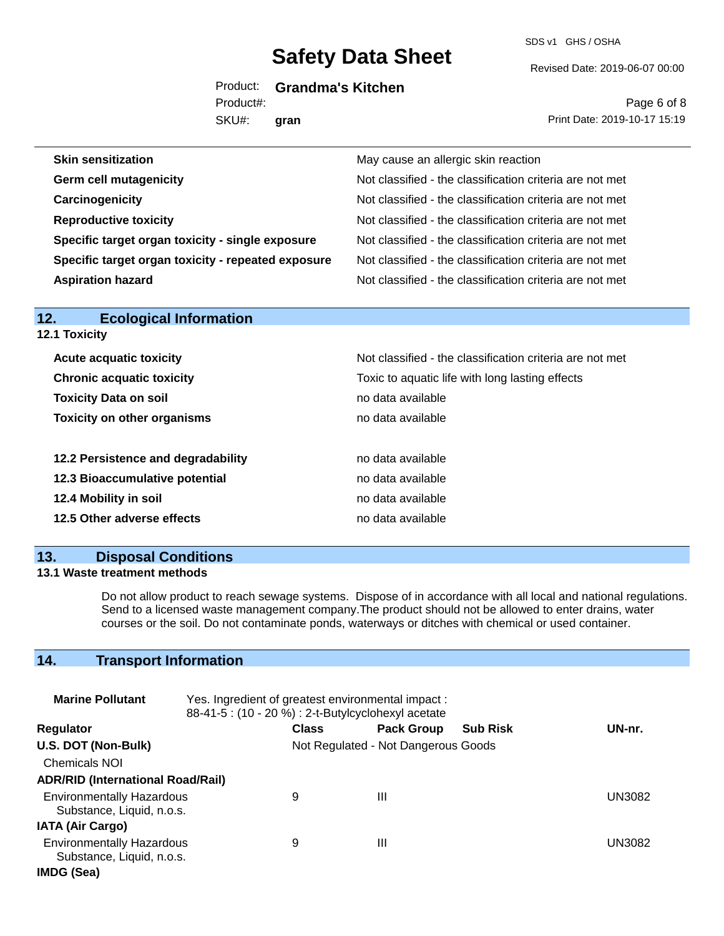SDS v1 GHS / OSHA

Revised Date: 2019-06-07 00:00

Product: **Grandma's Kitchen**

SKU#: Product#: **gran**

Page 6 of 8 Print Date: 2019-10-17 15:19

| <b>Skin sensitization</b>                          | May cause an allergic skin reaction                      |
|----------------------------------------------------|----------------------------------------------------------|
| <b>Germ cell mutagenicity</b>                      | Not classified - the classification criteria are not met |
| Carcinogenicity                                    | Not classified - the classification criteria are not met |
| <b>Reproductive toxicity</b>                       | Not classified - the classification criteria are not met |
| Specific target organ toxicity - single exposure   | Not classified - the classification criteria are not met |
| Specific target organ toxicity - repeated exposure | Not classified - the classification criteria are not met |
| <b>Aspiration hazard</b>                           | Not classified - the classification criteria are not met |

| ______________________________<br><b>12.1 Toxicity</b> |                                                          |  |  |
|--------------------------------------------------------|----------------------------------------------------------|--|--|
| <b>Acute acquatic toxicity</b>                         | Not classified - the classification criteria are not met |  |  |
| <b>Chronic acquatic toxicity</b>                       | Toxic to aquatic life with long lasting effects          |  |  |
| <b>Toxicity Data on soil</b>                           | no data available                                        |  |  |
| <b>Toxicity on other organisms</b>                     | no data available                                        |  |  |
| 12.2 Persistence and degradability                     | no data available                                        |  |  |
| 12.3 Bioaccumulative potential                         | no data available                                        |  |  |
| 12.4 Mobility in soil                                  | no data available                                        |  |  |
| 12.5 Other adverse effects                             | no data available                                        |  |  |

#### **13. Disposal Conditions**

**12. Ecological Information** 

#### **13.1 Waste treatment methods**

Do not allow product to reach sewage systems. Dispose of in accordance with all local and national regulations. Send to a licensed waste management company.The product should not be allowed to enter drains, water courses or the soil. Do not contaminate ponds, waterways or ditches with chemical or used container.

### **14. Transport Information**

| <b>Marine Pollutant</b>                                       | Yes. Ingredient of greatest environmental impact:<br>88-41-5 : (10 - 20 %) : 2-t-Butylcyclohexyl acetate |              |                                     |                 |        |
|---------------------------------------------------------------|----------------------------------------------------------------------------------------------------------|--------------|-------------------------------------|-----------------|--------|
| <b>Regulator</b>                                              |                                                                                                          | <b>Class</b> | <b>Pack Group</b>                   | <b>Sub Risk</b> | UN-nr. |
| U.S. DOT (Non-Bulk)                                           |                                                                                                          |              | Not Regulated - Not Dangerous Goods |                 |        |
| <b>Chemicals NOI</b>                                          |                                                                                                          |              |                                     |                 |        |
| <b>ADR/RID (International Road/Rail)</b>                      |                                                                                                          |              |                                     |                 |        |
| <b>Environmentally Hazardous</b><br>Substance, Liquid, n.o.s. |                                                                                                          | 9            | Ш                                   |                 | UN3082 |
| <b>IATA (Air Cargo)</b>                                       |                                                                                                          |              |                                     |                 |        |
| <b>Environmentally Hazardous</b><br>Substance, Liquid, n.o.s. |                                                                                                          | 9            | Ш                                   |                 | UN3082 |
| IMDG (Sea)                                                    |                                                                                                          |              |                                     |                 |        |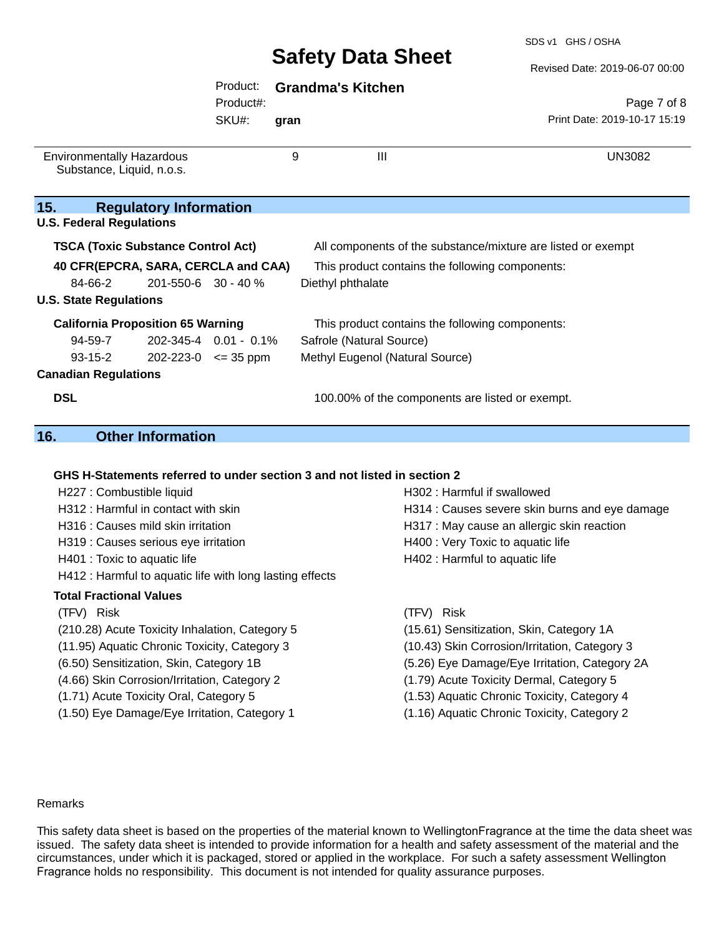SDS v1 GHS / OSHA

Revised Date: 2019-06-07 00:00

|                                                                                                                                                       | Product:<br>Product#: |      | <b>Grandma's Kitchen</b>                                                                                       |                                             |
|-------------------------------------------------------------------------------------------------------------------------------------------------------|-----------------------|------|----------------------------------------------------------------------------------------------------------------|---------------------------------------------|
|                                                                                                                                                       | SKU#:                 | gran |                                                                                                                | Page 7 of 8<br>Print Date: 2019-10-17 15:19 |
| <b>Environmentally Hazardous</b><br>Substance, Liquid, n.o.s.                                                                                         |                       | 9    | Ш                                                                                                              | <b>UN3082</b>                               |
| 15.<br><b>Regulatory Information</b><br><b>U.S. Federal Regulations</b>                                                                               |                       |      |                                                                                                                |                                             |
| <b>TSCA (Toxic Substance Control Act)</b>                                                                                                             |                       |      | All components of the substance/mixture are listed or exempt                                                   |                                             |
| 40 CFR(EPCRA, SARA, CERCLA and CAA)<br>84-66-2<br>$201 - 550 - 6$ 30 - 40 %                                                                           |                       |      | This product contains the following components:<br>Diethyl phthalate                                           |                                             |
| <b>U.S. State Regulations</b>                                                                                                                         |                       |      |                                                                                                                |                                             |
| <b>California Proposition 65 Warning</b><br>202-345-4 0.01 - 0.1%<br>94-59-7<br>93-15-2<br>$202 - 223 - 0 \leq 35$ ppm<br><b>Canadian Regulations</b> |                       |      | This product contains the following components:<br>Safrole (Natural Source)<br>Methyl Eugenol (Natural Source) |                                             |
| <b>DSL</b>                                                                                                                                            |                       |      | 100.00% of the components are listed or exempt.                                                                |                                             |

#### **16. Other Information**

#### **GHS H-Statements referred to under section 3 and not listed in section 2**

| H227 : Combustible liquid<br>H312 : Harmful in contact with skin<br>H316 : Causes mild skin irritation<br>H319 : Causes serious eye irritation<br>H401 : Toxic to aquatic life<br>H412 : Harmful to aquatic life with long lasting effects | H302 : Harmful if swallowed<br>H314 : Causes severe skin burns and eye damage<br>H317 : May cause an allergic skin reaction<br>H400 : Very Toxic to aquatic life<br>H402 : Harmful to aquatic life |
|--------------------------------------------------------------------------------------------------------------------------------------------------------------------------------------------------------------------------------------------|----------------------------------------------------------------------------------------------------------------------------------------------------------------------------------------------------|
| <b>Total Fractional Values</b>                                                                                                                                                                                                             | Risk                                                                                                                                                                                               |
| (TFV) Risk                                                                                                                                                                                                                                 | (TFV)                                                                                                                                                                                              |
| (210.28) Acute Toxicity Inhalation, Category 5                                                                                                                                                                                             | (15.61) Sensitization, Skin, Category 1A                                                                                                                                                           |
| (11.95) Aquatic Chronic Toxicity, Category 3                                                                                                                                                                                               | (10.43) Skin Corrosion/Irritation, Category 3                                                                                                                                                      |
| (6.50) Sensitization, Skin, Category 1B                                                                                                                                                                                                    | (5.26) Eye Damage/Eye Irritation, Category 2A                                                                                                                                                      |
| (4.66) Skin Corrosion/Irritation, Category 2                                                                                                                                                                                               | (1.79) Acute Toxicity Dermal, Category 5                                                                                                                                                           |
| (1.71) Acute Toxicity Oral, Category 5                                                                                                                                                                                                     | (1.53) Aquatic Chronic Toxicity, Category 4                                                                                                                                                        |
| (1.50) Eye Damage/Eye Irritation, Category 1                                                                                                                                                                                               | (1.16) Aquatic Chronic Toxicity, Category 2                                                                                                                                                        |

#### Remarks

This safety data sheet is based on the properties of the material known to WellingtonFragrance at the time the data sheet was issued. The safety data sheet is intended to provide information for a health and safety assessment of the material and the circumstances, under which it is packaged, stored or applied in the workplace. For such a safety assessment Wellington Fragrance holds no responsibility. This document is not intended for quality assurance purposes.